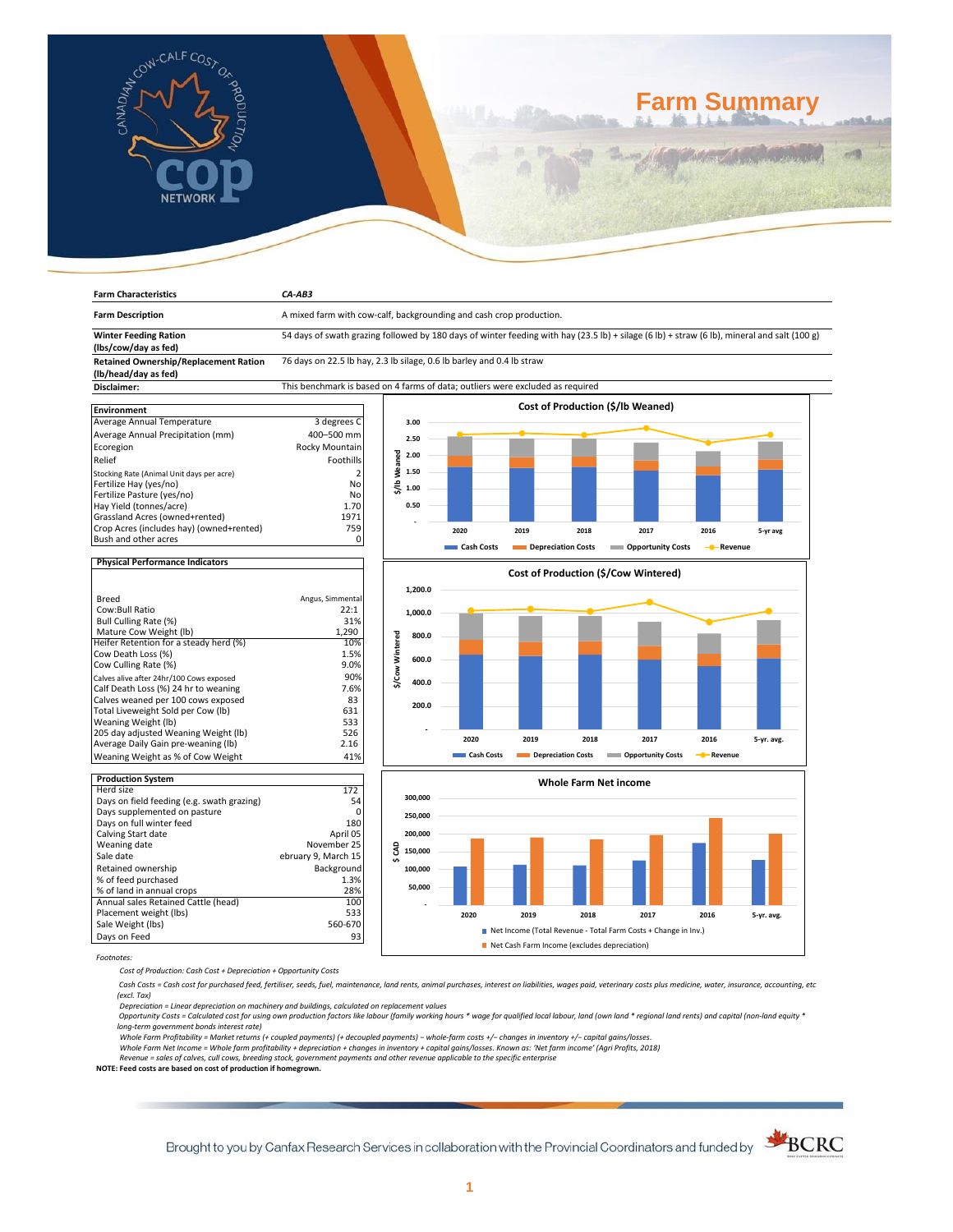

**Farm Characteristics** *CA-AB3*

# **Farm Summary**

| <b>Farm Description</b>                                              | A mixed farm with cow-calf, backgrounding and cash crop production.                                                                         |                          |            |                                      |                           |                   |            |
|----------------------------------------------------------------------|---------------------------------------------------------------------------------------------------------------------------------------------|--------------------------|------------|--------------------------------------|---------------------------|-------------------|------------|
| <b>Winter Feeding Ration</b><br>(lbs/cow/day as fed)                 | 54 days of swath grazing followed by 180 days of winter feeding with hay (23.5 lb) + silage (6 lb) + straw (6 lb), mineral and salt (100 g) |                          |            |                                      |                           |                   |            |
| <b>Retained Ownership/Replacement Ration</b><br>(lb/head/day as fed) | 76 days on 22.5 lb hay, 2.3 lb silage, 0.6 lb barley and 0.4 lb straw                                                                       |                          |            |                                      |                           |                   |            |
| Disclaimer:                                                          | This benchmark is based on 4 farms of data; outliers were excluded as required                                                              |                          |            |                                      |                           |                   |            |
|                                                                      |                                                                                                                                             |                          |            | Cost of Production (\$/lb Weaned)    |                           |                   |            |
| <b>Environment</b>                                                   |                                                                                                                                             |                          |            |                                      |                           |                   |            |
| Average Annual Temperature                                           | 3 degrees C                                                                                                                                 | 3.00                     |            |                                      |                           |                   |            |
| Average Annual Precipitation (mm)                                    | 400-500 mm                                                                                                                                  | 2.50                     |            |                                      |                           |                   |            |
| Ecoregion                                                            | Rocky Mountain                                                                                                                              |                          |            |                                      |                           |                   |            |
| Relief                                                               | Foothills                                                                                                                                   | \$/Ib Weaned<br>2.00     |            |                                      |                           |                   |            |
| Stocking Rate (Animal Unit days per acre)                            | $\overline{2}$                                                                                                                              | 1.50                     |            |                                      |                           |                   |            |
| Fertilize Hay (yes/no)                                               | No                                                                                                                                          |                          |            |                                      |                           |                   |            |
| Fertilize Pasture (yes/no)                                           | No                                                                                                                                          | 1.00                     |            |                                      |                           |                   |            |
| Hay Yield (tonnes/acre)                                              | 1.70                                                                                                                                        | 0.50                     |            |                                      |                           |                   |            |
| Grassland Acres (owned+rented)                                       | 1971                                                                                                                                        |                          |            |                                      |                           |                   |            |
| Crop Acres (includes hay) (owned+rented)                             | 759                                                                                                                                         |                          |            |                                      |                           |                   |            |
| Bush and other acres                                                 | 0                                                                                                                                           |                          | 2020       | 2019<br>2018                         | 2017                      | 2016              | 5-yr avg   |
|                                                                      |                                                                                                                                             |                          | Cash Costs | Depreciation Costs                   | <b>Opportunity Costs</b>  | - Revenue         |            |
| <b>Physical Performance Indicators</b>                               |                                                                                                                                             |                          |            |                                      |                           |                   |            |
|                                                                      |                                                                                                                                             |                          |            | Cost of Production (\$/Cow Wintered) |                           |                   |            |
|                                                                      |                                                                                                                                             | 1,200.0                  |            |                                      |                           |                   |            |
| <b>Breed</b>                                                         | Angus, Simmental                                                                                                                            |                          |            |                                      |                           |                   |            |
| Cow:Bull Ratio                                                       | 22:1                                                                                                                                        | 1,000.0                  |            |                                      |                           |                   |            |
| Bull Culling Rate (%)                                                | 31%                                                                                                                                         |                          |            |                                      |                           |                   |            |
| Mature Cow Weight (lb)                                               | 1.290                                                                                                                                       | 800.0                    |            |                                      |                           |                   |            |
| Heifer Retention for a steady herd (%)                               | 10%                                                                                                                                         |                          |            |                                      |                           |                   |            |
| Cow Death Loss (%)                                                   | 1.5%                                                                                                                                        | 600.0                    |            |                                      |                           |                   |            |
| Cow Culling Rate (%)                                                 | 9.0%                                                                                                                                        |                          |            |                                      |                           |                   |            |
| Calves alive after 24hr/100 Cows exposed                             | 90%                                                                                                                                         | \$/Cow Wintered<br>400.0 |            |                                      |                           |                   |            |
| Calf Death Loss (%) 24 hr to weaning                                 | 7.6%                                                                                                                                        |                          |            |                                      |                           |                   |            |
| Calves weaned per 100 cows exposed                                   | 83                                                                                                                                          | 200.0                    |            |                                      |                           |                   |            |
| Total Liveweight Sold per Cow (lb)                                   | 631                                                                                                                                         |                          |            |                                      |                           |                   |            |
| Weaning Weight (lb)                                                  | 533                                                                                                                                         |                          |            |                                      |                           |                   |            |
| 205 day adjusted Weaning Weight (lb)                                 | 526                                                                                                                                         |                          | 2020       | 2019<br>2018                         | 2017                      | 2016              | 5-yr. avg. |
| Average Daily Gain pre-weaning (lb)                                  | 2.16                                                                                                                                        |                          | Cash Costs | Depreciation Costs                   | <b>COPPORTUNITY COSTS</b> | <b>C</b> -Revenue |            |
| Weaning Weight as % of Cow Weight                                    | 41%                                                                                                                                         |                          |            |                                      |                           |                   |            |
| <b>Production System</b>                                             |                                                                                                                                             |                          |            | <b>Whole Farm Net income</b>         |                           |                   |            |
| Herd size                                                            | 172                                                                                                                                         |                          |            |                                      |                           |                   |            |
| Days on field feeding (e.g. swath grazing)                           | 54                                                                                                                                          | 300,000                  |            |                                      |                           |                   |            |
| Days supplemented on pasture                                         | $\mathbf 0$                                                                                                                                 | 250,000                  |            |                                      |                           |                   |            |
| Days on full winter feed                                             | 180                                                                                                                                         |                          |            |                                      |                           |                   |            |
| Calving Start date                                                   | April 05                                                                                                                                    | 200,000                  |            |                                      |                           |                   |            |
| Weaning date                                                         | November 25                                                                                                                                 | g<br>150,000             |            |                                      |                           |                   |            |
| Sale date                                                            | ebruary 9, March 15                                                                                                                         | ¢                        |            |                                      |                           |                   |            |
| Retained ownership                                                   | Background                                                                                                                                  | 100,000                  |            |                                      |                           |                   |            |
| % of feed purchased                                                  | 1.3%                                                                                                                                        |                          |            |                                      |                           |                   |            |
| % of land in annual crops                                            | 28%                                                                                                                                         | 50,000                   |            |                                      |                           |                   |            |
| Annual sales Retained Cattle (head)                                  | 100                                                                                                                                         |                          |            |                                      |                           |                   |            |
| Placement weight (lbs)                                               | 533                                                                                                                                         |                          | 2020       | 2019<br>2018                         | 2017                      | 2016              | S-yr avg   |

*Footnotes:*

*Cost of Production: Cash Cost + Depreciation + Opportunity Costs*

Annual sales Retained Cattle (head) 100 Placement weight (lbs) 533 Sale Weight (lbs) 560-670 Days on Feed 93

 *Cash Costs = Cash cost for purchased feed, fertiliser, seeds, fuel, maintenance, land rents, animal purchases, interest on liabilities, wages paid, veterinary costs plus medicine, water, insurance, accounting, etc (excl. Tax)* 

**2020 2019 2018 2017 2016 5-yr. avg.**

■ Net Income (Total Revenue - Total Farm Costs + Change in Inv.)

Net Cash Farm Income (excludes depreciation)

Depreciation = Linear depreciation on machinery and buildings, calculated on replacement values<br>Opportunity Costs = Calculated cost for using own production factors like labour (family working hours \* wage for qualified lo

*long-term government bonds interest rate)* 

Whole Farm Profitability = Market returns (+ coupled payments) (+ decoupled payments) – whole-farm costs +/– changes in inventory +/– capital gains/losses.<br>Whole Farm Net Income = Whole farm profitability + depreciation +

*Revenue = sales of calves, cull cows, breeding stock, government payments and other revenue applicable to the specific enterprise* **NOTE: Feed costs are based on cost of production if homegrown.**

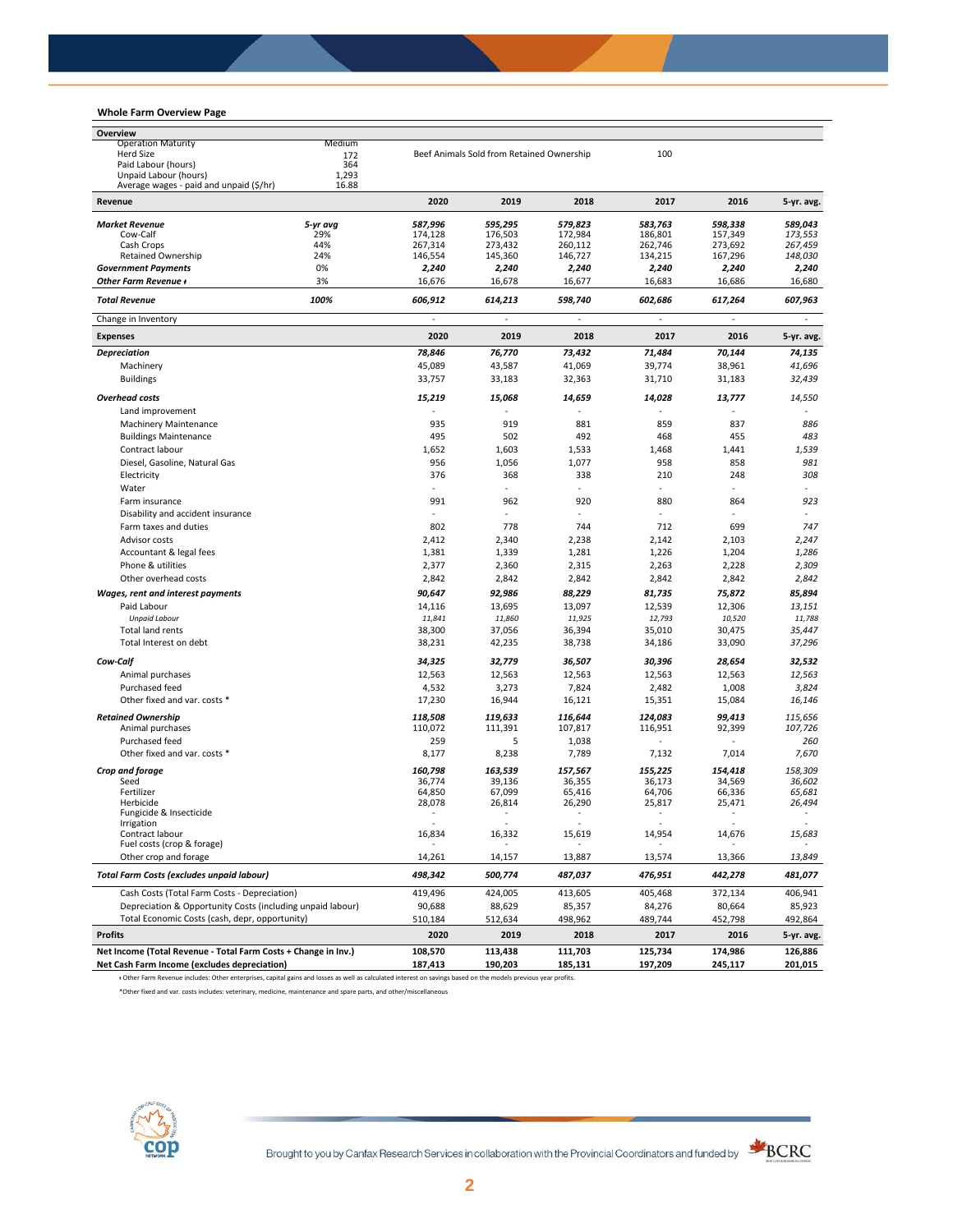## **Whole Farm Overview Page**

| Overview                                                                                                                                                        |            |                          |                                           |                          |                    |                    |                    |
|-----------------------------------------------------------------------------------------------------------------------------------------------------------------|------------|--------------------------|-------------------------------------------|--------------------------|--------------------|--------------------|--------------------|
| <b>Operation Maturity</b>                                                                                                                                       | Medium     |                          |                                           |                          |                    |                    |                    |
| Herd Size                                                                                                                                                       | 172        |                          | Beef Animals Sold from Retained Ownership |                          | 100                |                    |                    |
| Paid Labour (hours)                                                                                                                                             | 364        |                          |                                           |                          |                    |                    |                    |
| Unpaid Labour (hours)                                                                                                                                           | 1,293      |                          |                                           |                          |                    |                    |                    |
| Average wages - paid and unpaid (\$/hr)<br>Revenue                                                                                                              | 16.88      | 2020                     | 2019                                      | 2018                     | 2017               | 2016               | 5-yr. avg.         |
|                                                                                                                                                                 |            |                          |                                           |                          |                    |                    |                    |
| <b>Market Revenue</b>                                                                                                                                           | 5-yr avg   | 587,996                  | 595,295                                   | 579,823                  | 583,763            | 598,338            | 589,043<br>173.553 |
| Cow-Calf<br>Cash Crops                                                                                                                                          | 29%<br>44% | 174,128<br>267,314       | 176,503<br>273,432                        | 172,984<br>260,112       | 186,801<br>262,746 | 157,349<br>273,692 | 267,459            |
| <b>Retained Ownership</b>                                                                                                                                       | 24%        | 146,554                  | 145,360                                   | 146,727                  | 134,215            | 167,296            | 148,030            |
| <b>Government Payments</b>                                                                                                                                      | 0%         | 2,240                    | 2,240                                     | 2,240                    | 2,240              | 2,240              | 2,240              |
| Other Farm Revenue +                                                                                                                                            | 3%         | 16,676                   | 16,678                                    | 16,677                   | 16,683             | 16,686             | 16,680             |
| <b>Total Revenue</b>                                                                                                                                            | 100%       | 606,912                  | 614,213                                   | 598,740                  | 602,686            | 617,264            | 607,963            |
| Change in Inventory                                                                                                                                             |            | ä,                       | ä,                                        | ÷.                       | ä,                 |                    | $\blacksquare$     |
| <b>Expenses</b>                                                                                                                                                 |            | 2020                     | 2019                                      | 2018                     | 2017               | 2016               | 5-yr. avg.         |
| <b>Depreciation</b>                                                                                                                                             |            | 78,846                   | 76,770                                    | 73,432                   | 71,484             | 70,144             | 74,135             |
| Machinery                                                                                                                                                       |            | 45,089                   | 43,587                                    | 41,069                   | 39,774             | 38,961             | 41,696             |
| <b>Buildings</b>                                                                                                                                                |            | 33,757                   | 33,183                                    | 32,363                   | 31,710             | 31,183             | 32,439             |
|                                                                                                                                                                 |            |                          |                                           |                          |                    |                    |                    |
| <b>Overhead costs</b>                                                                                                                                           |            | 15,219                   | 15,068                                    | 14,659                   | 14,028             | 13,777             | 14,550             |
| Land improvement                                                                                                                                                |            |                          |                                           |                          |                    |                    |                    |
| <b>Machinery Maintenance</b>                                                                                                                                    |            | 935                      | 919                                       | 881                      | 859                | 837                | 886                |
| <b>Buildings Maintenance</b>                                                                                                                                    |            | 495                      | 502                                       | 492                      | 468                | 455                | 483                |
| Contract labour                                                                                                                                                 |            | 1,652                    | 1,603                                     | 1,533                    | 1,468              | 1,441              | 1,539              |
| Diesel, Gasoline, Natural Gas                                                                                                                                   |            | 956                      | 1,056                                     | 1,077                    | 958                | 858                | 981                |
| Electricity                                                                                                                                                     |            | 376                      | 368                                       | 338                      | 210                | 248                | 308                |
| Water                                                                                                                                                           |            | ÷                        | ÷,                                        |                          | ÷                  |                    |                    |
| Farm insurance                                                                                                                                                  |            | 991                      | 962                                       | 920                      | 880                | 864                | 923                |
| Disability and accident insurance                                                                                                                               |            |                          | ٠                                         |                          | ÷                  |                    |                    |
| Farm taxes and duties                                                                                                                                           |            | 802                      | 778                                       | 744                      | 712                | 699                | 747                |
| Advisor costs                                                                                                                                                   |            | 2,412                    | 2,340                                     | 2,238                    | 2,142              | 2,103              | 2,247              |
|                                                                                                                                                                 |            |                          |                                           |                          |                    |                    |                    |
| Accountant & legal fees                                                                                                                                         |            | 1,381                    | 1,339                                     | 1,281                    | 1,226              | 1,204              | 1,286              |
| Phone & utilities                                                                                                                                               |            | 2,377                    | 2,360                                     | 2,315                    | 2,263              | 2,228              | 2,309              |
| Other overhead costs                                                                                                                                            |            | 2,842                    | 2,842                                     | 2,842                    | 2,842              | 2,842              | 2,842              |
| Wages, rent and interest payments                                                                                                                               |            | 90,647                   | 92,986                                    | 88,229                   | 81,735             | 75,872             | 85,894             |
| Paid Labour                                                                                                                                                     |            | 14,116                   | 13,695                                    | 13,097                   | 12,539             | 12,306             | 13,151             |
| <b>Unpaid Labour</b>                                                                                                                                            |            | 11,841                   | 11,860                                    | 11,925                   | 12,793             | 10,520             | 11,788             |
| Total land rents                                                                                                                                                |            | 38,300                   | 37,056                                    | 36,394                   | 35,010             | 30,475             | 35,447             |
| Total Interest on debt                                                                                                                                          |            | 38,231                   | 42,235                                    | 38,738                   | 34,186             | 33,090             | 37,296             |
|                                                                                                                                                                 |            |                          |                                           |                          |                    |                    |                    |
| Cow-Calf                                                                                                                                                        |            | 34,325                   | 32,779                                    | 36,507                   | 30,396             | 28,654             | 32,532             |
| Animal purchases                                                                                                                                                |            | 12,563                   | 12,563                                    | 12,563                   | 12,563             | 12,563             | 12,563             |
| Purchased feed                                                                                                                                                  |            | 4,532                    | 3,273                                     | 7,824                    | 2,482              | 1,008              | 3,824              |
| Other fixed and var. costs *                                                                                                                                    |            | 17,230                   | 16,944                                    | 16,121                   | 15,351             | 15,084             | 16,146             |
| <b>Retained Ownership</b>                                                                                                                                       |            | 118,508                  | 119,633                                   | 116,644                  | 124,083            | 99,413             | 115,656            |
| Animal purchases                                                                                                                                                |            | 110,072                  | 111,391                                   | 107,817                  | 116,951            | 92,399             | 107,726            |
| Purchased feed                                                                                                                                                  |            | 259                      | 5                                         | 1,038                    | ÷,                 | ÷,                 | 260                |
| Other fixed and var. costs *                                                                                                                                    |            | 8,177                    | 8,238                                     | 7,789                    | 7,132              | 7,014              | 7,670              |
|                                                                                                                                                                 |            |                          |                                           |                          |                    |                    |                    |
| Crop and forage<br>Seed                                                                                                                                         |            | 160,798<br>36,774        | 163,539                                   | 157.567                  | 155,225<br>36,173  | 154,418<br>34,569  | 158,309<br>36,602  |
| Fertilizer                                                                                                                                                      |            | 64.850                   | 39,136<br>67,099                          | 36,355<br>65,416         | 64,706             | 66,336             | 65,681             |
| Herbicide                                                                                                                                                       |            | 28,078                   | 26,814                                    | 26,290                   | 25,817             | 25,471             | 26,494             |
| Fungicide & Insecticide                                                                                                                                         |            | $\overline{\phantom{a}}$ | $\overline{\phantom{a}}$                  | $\overline{\phantom{a}}$ | ٠                  | $\sim$             | ٠                  |
| Irrigation                                                                                                                                                      |            |                          |                                           |                          |                    |                    |                    |
| Contract labour                                                                                                                                                 |            | 16,834                   | 16,332                                    | 15,619                   | 14,954             | 14,676             | 15,683             |
| Fuel costs (crop & forage)                                                                                                                                      |            |                          |                                           |                          |                    |                    |                    |
| Other crop and forage                                                                                                                                           |            | 14,261                   | 14,157                                    | 13,887                   | 13,574             | 13,366             | 13,849             |
| <b>Total Farm Costs (excludes unpaid labour)</b>                                                                                                                |            | 498,342                  | 500,774                                   | 487,037                  | 476,951            | 442,278            | 481,077            |
| Cash Costs (Total Farm Costs - Depreciation)                                                                                                                    |            | 419,496                  | 424,005                                   | 413,605                  | 405,468            | 372,134            | 406,941            |
| Depreciation & Opportunity Costs (including unpaid labour)                                                                                                      |            | 90,688                   | 88,629                                    | 85,357                   | 84,276             | 80,664             | 85,923             |
| Total Economic Costs (cash, depr, opportunity)                                                                                                                  |            | 510,184                  | 512,634                                   | 498,962                  | 489,744            | 452,798            | 492,864            |
| <b>Profits</b>                                                                                                                                                  |            | 2020                     | 2019                                      | 2018                     | 2017               | 2016               | 5-yr. avg.         |
| Net Income (Total Revenue - Total Farm Costs + Change in Inv.)                                                                                                  |            | 108,570                  | 113,438                                   | 111,703                  | 125,734            | 174,986            | 126,886            |
| Net Cash Farm Income (excludes depreciation)                                                                                                                    |            | 187,413                  | 190,203                                   | 185,131                  | 197,209            | 245,117            | 201,015            |
| + Other Farm Revenue includes: Other enterprises, capital gains and losses as well as calculated interest on savings based on the models previous year profits. |            |                          |                                           |                          |                    |                    |                    |

\*Other fixed and var. costs includes: veterinary, medicine, maintenance and spare parts, and other/miscellaneous



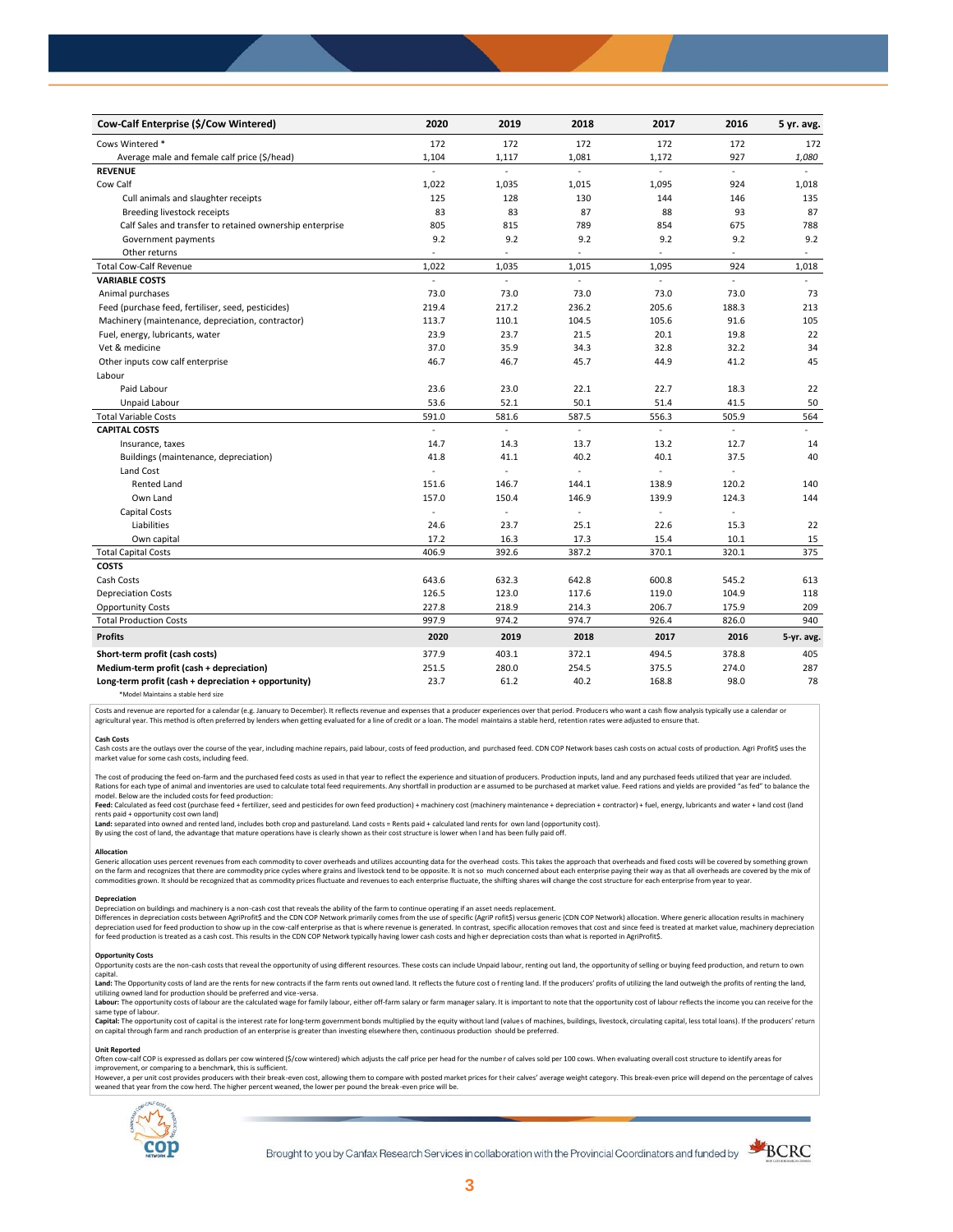| Cow-Calf Enterprise (\$/Cow Wintered)                    | 2020                     | 2019  | 2018                     | 2017      | 2016     | 5 yr. avg. |
|----------------------------------------------------------|--------------------------|-------|--------------------------|-----------|----------|------------|
| Cows Wintered *                                          | 172                      | 172   | 172                      | 172       | 172      | 172        |
| Average male and female calf price (\$/head)             | 1,104                    | 1,117 | 1,081                    | 1,172     | 927      | 1,080      |
| <b>REVENUE</b>                                           | $\overline{a}$           | L.    | $\mathcal{L}$            | L.        | $\omega$ |            |
| Cow Calf                                                 | 1,022                    | 1,035 | 1,015                    | 1,095     | 924      | 1,018      |
| Cull animals and slaughter receipts                      | 125                      | 128   | 130                      | 144       | 146      | 135        |
| Breeding livestock receipts                              | 83                       | 83    | 87                       | 88        | 93       | 87         |
| Calf Sales and transfer to retained ownership enterprise | 805                      | 815   | 789                      | 854       | 675      | 788        |
| Government payments                                      | 9.2                      | 9.2   | 9.2                      | 9.2       | 9.2      | 9.2        |
| Other returns                                            | ÷                        | ٠     | $\overline{\phantom{a}}$ | ÷         | ÷,       | $\sim$     |
| <b>Total Cow-Calf Revenue</b>                            | 1,022                    | 1,035 | 1,015                    | 1,095     | 924      | 1,018      |
| <b>VARIABLE COSTS</b>                                    | ÷.                       | ÷.    | ä,                       | ä,        | ä,       | $\omega$   |
| Animal purchases                                         | 73.0                     | 73.0  | 73.0                     | 73.0      | 73.0     | 73         |
| Feed (purchase feed, fertiliser, seed, pesticides)       | 219.4                    | 217.2 | 236.2                    | 205.6     | 188.3    | 213        |
| Machinery (maintenance, depreciation, contractor)        | 113.7                    | 110.1 | 104.5                    | 105.6     | 91.6     | 105        |
| Fuel, energy, lubricants, water                          | 23.9                     | 23.7  | 21.5                     | 20.1      | 19.8     | 22         |
| Vet & medicine                                           | 37.0                     | 35.9  | 34.3                     | 32.8      | 32.2     | 34         |
| Other inputs cow calf enterprise                         | 46.7                     | 46.7  | 45.7                     | 44.9      | 41.2     | 45         |
| Labour                                                   |                          |       |                          |           |          |            |
| Paid Labour                                              | 23.6                     | 23.0  | 22.1                     | 22.7      | 18.3     | 22         |
| Unpaid Labour                                            | 53.6                     | 52.1  | 50.1                     | 51.4      | 41.5     | 50         |
| <b>Total Variable Costs</b>                              | 591.0                    | 581.6 | 587.5                    | 556.3     | 505.9    | 564        |
| <b>CAPITAL COSTS</b>                                     |                          |       |                          |           |          |            |
| Insurance, taxes                                         | 14.7                     | 14.3  | 13.7                     | 13.2      | 12.7     | 14         |
| Buildings (maintenance, depreciation)                    | 41.8                     | 41.1  | 40.2                     | 40.1      | 37.5     | 40         |
| Land Cost                                                | $\overline{\phantom{a}}$ | ÷,    |                          |           |          |            |
| <b>Rented Land</b>                                       | 151.6                    | 146.7 | 144.1                    | 138.9     | 120.2    | 140        |
| Own Land                                                 | 157.0                    | 150.4 | 146.9                    | 139.9     | 124.3    | 144        |
| <b>Capital Costs</b>                                     | ä,                       | ä,    | L.                       | $\bar{z}$ | $\sim$   |            |
| Liabilities                                              | 24.6                     | 23.7  | 25.1                     | 22.6      | 15.3     | 22         |
| Own capital                                              | 17.2                     | 16.3  | 17.3                     | 15.4      | 10.1     | 15         |
| <b>Total Capital Costs</b>                               | 406.9                    | 392.6 | 387.2                    | 370.1     | 320.1    | 375        |
| <b>COSTS</b>                                             |                          |       |                          |           |          |            |
| Cash Costs                                               | 643.6                    | 632.3 | 642.8                    | 600.8     | 545.2    | 613        |
| <b>Depreciation Costs</b>                                | 126.5                    | 123.0 | 117.6                    | 119.0     | 104.9    | 118        |
| <b>Opportunity Costs</b>                                 | 227.8                    | 218.9 | 214.3                    | 206.7     | 175.9    | 209        |
| <b>Total Production Costs</b>                            | 997.9                    | 974.2 | 974.7                    | 926.4     | 826.0    | 940        |
| <b>Profits</b>                                           | 2020                     | 2019  | 2018                     | 2017      | 2016     | 5-yr. avg. |
| Short-term profit (cash costs)                           | 377.9                    | 403.1 | 372.1                    | 494.5     | 378.8    | 405        |
| Medium-term profit (cash + depreciation)                 | 251.5                    | 280.0 | 254.5                    | 375.5     | 274.0    | 287        |
| Long-term profit (cash + depreciation + opportunity)     | 23.7                     | 61.2  | 40.2                     | 168.8     | 98.0     | 78         |
|                                                          |                          |       |                          |           |          |            |

\*Model Maintains a stable herd size

Costs and revenue are reported for a calendar (e.g. January to December). It reflects revenue and expenses that a producer experiences over that period. Producers who want a cash flow analysis typically use a calendar or agricultural year. This method is often preferred by lenders when getting evaluated for a line of credit or a loan. The model maintains a stable herd, retention rates were adjusted to ensure that

C<mark>ash Costs</mark><br>Cash costs are the outlays over the course of the year, including machine repairs, paid labour, costs of feed production, and purchased feed. CDN COP Network bases cash costs on actual costs of production. Agr market value for some cash costs, including feed.

The cost of producing the feed on-farm and the purchased feed costs as used in that year to reflect the experience and situation of producers. Production inputs, land and any purchased feeds utilized that year are included model. Below are the included costs for feed production:

#### moder.outwhat was made used to receip would continuour.<br>**Feed:** Calculated as feed cost (purchase feed + fertilizer, seed and pesticides for own feed production) + machinery cost (machinery maintenance + depreciation + con rents paid + opportunity cost own land)

**Land:** separated into owned and rented land, includes both crop and pastureland. Land costs = Rents paid + calculated land rents for own land (opportunity cost).

By using the cost of land, the advantage that mature operations have is clearly shown as their cost structure is lower when l and has been fully paid off.

### **Allocation**

Generic allocation uses percent revenues from each commodity to cover overheads and utilizes accounting data for the overhead costs. This takes the approach that overheads and fixed costs will be covered by something grown commodities grown. It should be recognized that as commodity prices fluctuate and revenues to each enterprise fluctuate, the shifting shares will change the cost structure for each enterprise from year to year.

## **Depreciation**

Depreciation on buildings and machinery is a non-cash cost that reveals the ability of the farm to continue operating if an asset needs replacement. Differences in depreciation costs between AgriProfit\$ and the CDN COP Network primarily comes from the use of specific (AgriP rofit\$) versus generic (CDN COP Network) allocation. Where generic allocation results in machine

## **Opportunity Costs**

Provincing COSS are the non-cash costs that reveal the opportunity of using different resources. These costs can include Unpaid labour, renting out land, the opportunity of selling or buying feed production, and return to capital.

required.<br>Land: The Opportunity costs of land are the rents for new contracts if the farm rents out owned land. It reflects the future cost of renting land. If the producers' profits of utilizing the land outweigh the prof utilizing owned land for production should be preferred and vice-versa.<br>**Labour:** The opportunity costs of labour are the calculated wage for family labour, either off-farm salary or farm manager salary. It is important to

same type of labour.

**Capita**l: The opportunity cost of capital is the interest rate for long-term government bonds multiplied by the equity without land (values of machines, buildings, livestock, circulating capital, less total loans). If the

#### **Unit Reported**

Often cow-calf COP is expressed as dollars per cow wintered (\$/cow wintered) which adjusts the calf price per head for the number of calves sold per 100 cows. When evaluating overall cost structure to identify areas for<br>im

however..export of the structure with the structure of the break-even cost. allowing them to compare with posted market prices for their calves' average weight category. This break-even price will depend on the percentage weaned that year from the cow herd. The higher percent weaned, the lower per pound the break -even price will be.



Brought to you by Canfax Research Services in collaboration with the Provincial Coordinators and funded by

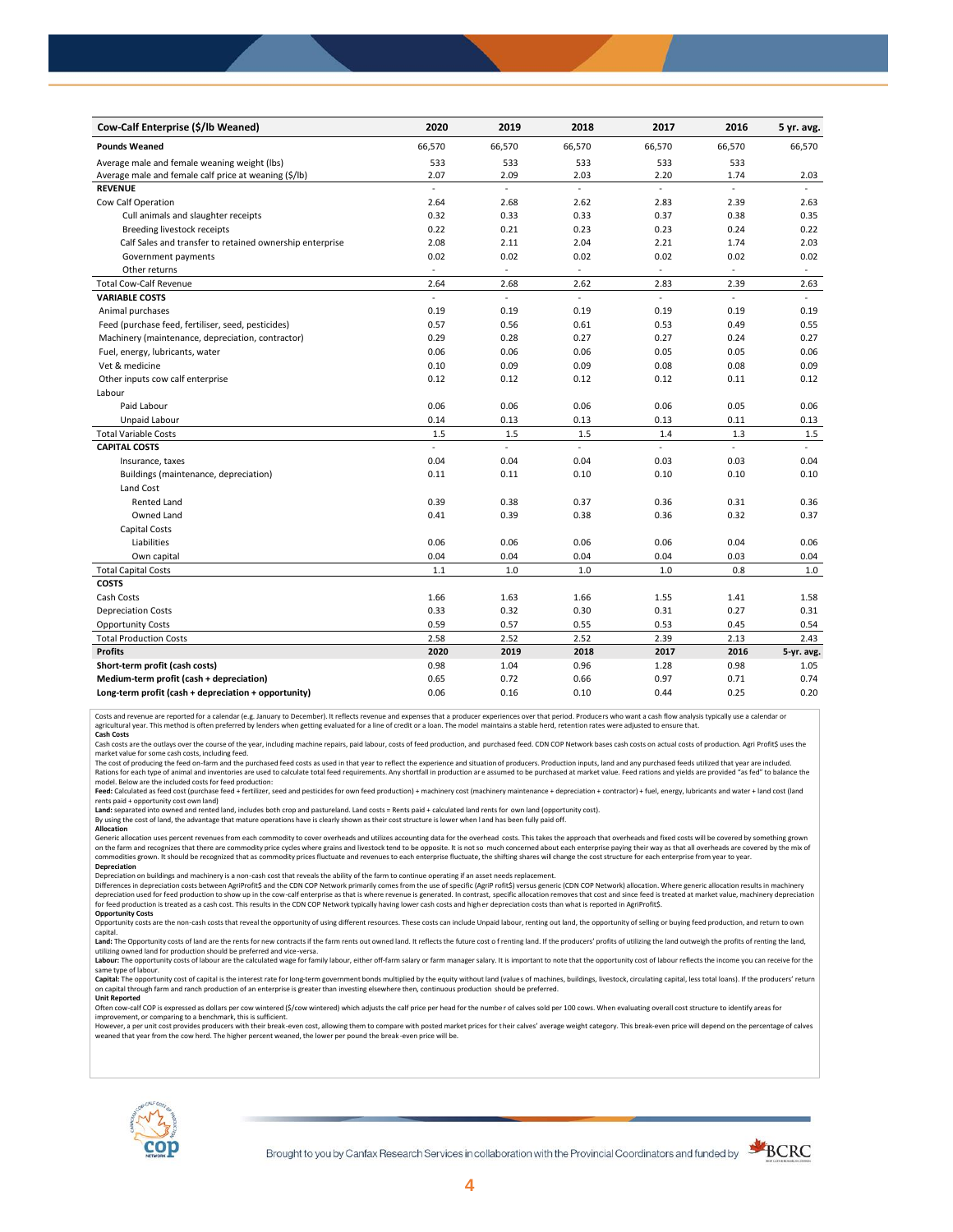| Cow-Calf Enterprise (\$/lb Weaned)                       | 2020                     | 2019                     | 2018                | 2017                     | 2016                     | 5 yr. avg.               |
|----------------------------------------------------------|--------------------------|--------------------------|---------------------|--------------------------|--------------------------|--------------------------|
| <b>Pounds Weaned</b>                                     | 66,570                   | 66,570                   | 66,570              | 66,570                   | 66,570                   | 66,570                   |
| Average male and female weaning weight (lbs)             | 533                      | 533                      | 533                 | 533                      | 533                      |                          |
| Average male and female calf price at weaning (\$/lb)    | 2.07                     | 2.09                     | 2.03                | 2.20                     | 1.74                     | 2.03                     |
| <b>REVENUE</b>                                           | ä,                       | L,                       | ä,                  | ä,                       | ä,                       |                          |
| Cow Calf Operation                                       | 2.64                     | 2.68                     | 2.62                | 2.83                     | 2.39                     | 2.63                     |
| Cull animals and slaughter receipts                      | 0.32                     | 0.33                     | 0.33                | 0.37                     | 0.38                     | 0.35                     |
| Breeding livestock receipts                              | 0.22                     | 0.21                     | 0.23                | 0.23                     | 0.24                     | 0.22                     |
| Calf Sales and transfer to retained ownership enterprise | 2.08                     | 2.11                     | 2.04                | 2.21                     | 1.74                     | 2.03                     |
| Government payments                                      | 0.02                     | 0.02                     | 0.02                | 0.02                     | 0.02                     | 0.02                     |
| Other returns                                            | $\sim$                   | $\sim$                   | $\sim$              | $\overline{\phantom{a}}$ | $\sim$                   | $\overline{\phantom{a}}$ |
| <b>Total Cow-Calf Revenue</b>                            | 2.64                     | 2.68                     | 2.62                | 2.83                     | 2.39                     | 2.63                     |
| <b>VARIABLE COSTS</b>                                    | $\overline{\phantom{a}}$ | $\overline{\phantom{a}}$ | $\omega$            | L.                       | $\sim$                   |                          |
| Animal purchases                                         | 0.19                     | 0.19                     | 0.19                | 0.19                     | 0.19                     | 0.19                     |
| Feed (purchase feed, fertiliser, seed, pesticides)       | 0.57                     | 0.56                     | 0.61                | 0.53                     | 0.49                     | 0.55                     |
| Machinery (maintenance, depreciation, contractor)        | 0.29                     | 0.28                     | 0.27                | 0.27                     | 0.24                     | 0.27                     |
| Fuel, energy, lubricants, water                          | 0.06                     | 0.06                     | 0.06                | 0.05                     | 0.05                     | 0.06                     |
| Vet & medicine                                           | 0.10                     | 0.09                     | 0.09                | 0.08                     | 0.08                     | 0.09                     |
| Other inputs cow calf enterprise                         | 0.12                     | 0.12                     | 0.12                | 0.12                     | 0.11                     | 0.12                     |
| Labour                                                   |                          |                          |                     |                          |                          |                          |
| Paid Labour                                              | 0.06                     | 0.06                     | 0.06                | 0.06                     | 0.05                     | 0.06                     |
| Unpaid Labour                                            | 0.14                     | 0.13                     | 0.13                | 0.13                     | 0.11                     | 0.13                     |
| <b>Total Variable Costs</b>                              | 1.5                      | 1.5                      | 1.5                 | 1.4                      | 1.3                      | 1.5                      |
| <b>CAPITAL COSTS</b>                                     | ä,                       | L.                       | $\bar{\phantom{a}}$ | ä,                       | $\overline{\phantom{a}}$ |                          |
| Insurance, taxes                                         | 0.04                     | 0.04                     | 0.04                | 0.03                     | 0.03                     | 0.04                     |
| Buildings (maintenance, depreciation)                    | 0.11                     | 0.11                     | 0.10                | 0.10                     | 0.10                     | 0.10                     |
| Land Cost                                                |                          |                          |                     |                          |                          |                          |
| <b>Rented Land</b>                                       | 0.39                     | 0.38                     | 0.37                | 0.36                     | 0.31                     | 0.36                     |
| Owned Land                                               | 0.41                     | 0.39                     | 0.38                | 0.36                     | 0.32                     | 0.37                     |
| <b>Capital Costs</b>                                     |                          |                          |                     |                          |                          |                          |
| Liabilities                                              | 0.06                     | 0.06                     | 0.06                | 0.06                     | 0.04                     | 0.06                     |
| Own capital                                              | 0.04                     | 0.04                     | 0.04                | 0.04                     | 0.03                     | 0.04                     |
| <b>Total Capital Costs</b>                               | 1.1                      | 1.0                      | 1.0                 | 1.0                      | 0.8                      | $1.0\,$                  |
| <b>COSTS</b>                                             |                          |                          |                     |                          |                          |                          |
| Cash Costs                                               | 1.66                     | 1.63                     | 1.66                | 1.55                     | 1.41                     | 1.58                     |
| <b>Depreciation Costs</b>                                | 0.33                     | 0.32                     | 0.30                | 0.31                     | 0.27                     | 0.31                     |
| <b>Opportunity Costs</b>                                 | 0.59                     | 0.57                     | 0.55                | 0.53                     | 0.45                     | 0.54                     |
| <b>Total Production Costs</b>                            | 2.58                     | 2.52                     | 2.52                | 2.39                     | 2.13                     | 2.43                     |
| <b>Profits</b>                                           | 2020                     | 2019                     | 2018                | 2017                     | 2016                     | 5-yr. avg.               |
| Short-term profit (cash costs)                           | 0.98                     | 1.04                     | 0.96                | 1.28                     | 0.98                     | 1.05                     |
| Medium-term profit (cash + depreciation)                 | 0.65                     | 0.72                     | 0.66                | 0.97                     | 0.71                     | 0.74                     |
| Long-term profit (cash + depreciation + opportunity)     | 0.06                     | 0.16                     | 0.10                | 0.44                     | 0.25                     | 0.20                     |

Costs and revenue are reported for a calendar (e.g. January to December). It reflects revenue and expenses that a producer experiences over that period. Producers who want a cash flow analysis typically use a calendar or<br>a

cash costs are the outlays over the course of the year, including machine repairs, paid labour, costs of feed production, and purchased feed. CDN COP Network bases cash costs on actual costs of production. Agri Profit\$ use

market value for some cash costs, including feed.

The cost of producing the feed on-farm and the purchased feed costs as used in that year to reflect the experience and situation of producers. Production inputs, land and any purchased feeds utilized that year are included model. Below are the included costs for feed production:

Feed: Calculated as feed cost (purchase feed + fertilizer, seed and pesticides for own feed production) + machinery cost (machinery maintenance + depreciation + contractor) + fuel, energy, lubricants and water + land cost

Land: separated into owned and rented land, includes both crop and pastureland. Land costs = Rents paid + calculated land rents for own land (opportunity cost).

By using the cost of land, the advantage that mature operations have is clearly shown as their cost structure is lower when l and has been fully paid off. **Allocation**

Generic allocation uses percent revenues from each commodity to cover overheads and utilizes accounting data for the overhead costs. This takes the approach that overheads and fixed costs will be covered by something grown on the farm and recognizes that there are commodity price cycles where grains and livestock tend to be opposite. It is not so much concerned about each enterprise paying their way as that all overheads are covered by the m **Depreciation**

Depreciation on buildings and machinery is a non-cash cost that reveals the ability of the farm to continue operating if an asset needs replacement.

Differences in depreciation costs between AgriProfit\$ and the CDN COP Network primarily comes from the use of specific (AgriP rofit\$) versus generic (CDN COP Network) allocation. Where generic allocation results in machine

## **Opportunity Costs**

Opportunity costs are the non-cash costs that reveal the opportunity of using different resources. These costs can include Unpaid labour, renting out land, the opportunity of selling or buying feed production, and return t Land: The Opportunity costs of land are the rents for new contracts if the farm rents out owned land. It reflects the future cost of renting land. If the producers' profits of utilizing the land outweigh the profits of ren

utilizing owned land for production should be preferred and vice-versa.<br>**Labour:** The opportunity costs of labour are the calculated wage for family labour, either off-farm salary or farm manager salary. It is important to same type of labour.

Capital: The opportunity cost of capital is the interest rate for long-term government bonds multiplied by the equity without land (values of machines, buildings, livestock, circulating capital, less total loans). If the p on capital through farm and ranch production of an enterprise is greater than investing elsewhere then, continuous production should be preferred. **Unit Reported**

Often cow-calf COP is expressed as dollars per cow wintered (\$/cow wintered) which adjusts the calf price per head for the numbe r of calves sold per 100 cows. When evaluating overall cost structure to identify areas for

improvement, or comparing to a benchmark, this is sufficient.<br>However, a per unit cost provides producers with their break-even cost, allowing them to compare with posted market prices for their calves' average weight cate weaned that year from the cow herd. The higher percent weaned, the lower per pound the break -even price will be.



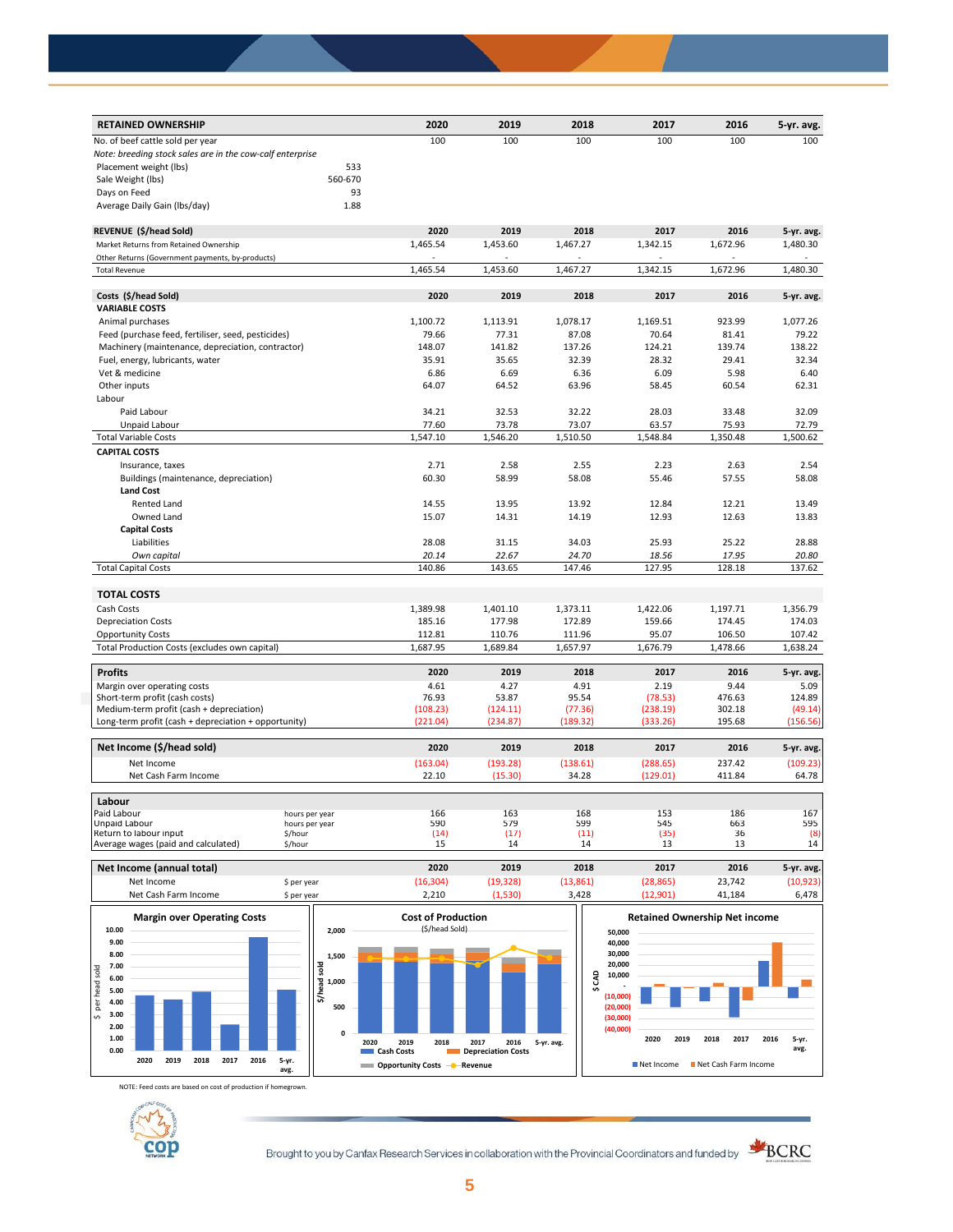| 100<br>100<br>100<br>100<br>100<br>100<br>No. of beef cattle sold per year<br>Note: breeding stock sales are in the cow-calf enterprise<br>Placement weight (lbs)<br>533<br>560-670<br>Sale Weight (lbs)<br>93<br>Days on Feed<br>Average Daily Gain (Ibs/day)<br>1.88<br>2020<br>2017<br>REVENUE (\$/head Sold)<br>2019<br>2018<br>2016<br>5-yr. avg.<br>1,465.54<br>1,480.30<br>Market Returns from Retained Ownership<br>1,453.60<br>1,467.27<br>1,342.15<br>1,672.96<br>Other Returns (Government payments, by-products)<br>1,465.54<br>1,453.60<br>1,467.27<br>1,342.15<br>1,672.96<br>1,480.30<br><b>Total Revenue</b><br>Costs (\$/head Sold)<br>2020<br>2019<br>2018<br>2017<br>2016<br>5-yr. avg.<br><b>VARIABLE COSTS</b><br>1,100.72<br>1,113.91<br>1,078.17<br>1,169.51<br>923.99<br>1,077.26<br>Animal purchases<br>Feed (purchase feed, fertiliser, seed, pesticides)<br>79.66<br>77.31<br>87.08<br>70.64<br>81.41<br>79.22<br>148.07<br>141.82<br>137.26<br>124.21<br>139.74<br>138.22<br>Machinery (maintenance, depreciation, contractor)<br>35.91<br>35.65<br>32.39<br>28.32<br>29.41<br>32.34<br>Fuel, energy, lubricants, water<br>Vet & medicine<br>6.69<br>6.36<br>5.98<br>6.40<br>6.86<br>6.09<br>Other inputs<br>64.07<br>64.52<br>63.96<br>58.45<br>60.54<br>62.31<br>Labour<br>Paid Labour<br>34.21<br>32.53<br>32.22<br>28.03<br>33.48<br>32.09<br>Unpaid Labour<br>77.60<br>73.78<br>73.07<br>75.93<br>72.79<br>63.57<br>1,547.10<br>1,546.20<br>1,510.50<br>1,548.84<br>1,350.48<br>1,500.62<br><b>Total Variable Costs</b><br><b>CAPITAL COSTS</b><br>Insurance, taxes<br>2.71<br>2.58<br>2.55<br>2.23<br>2.63<br>2.54<br>60.30<br>58.99<br>58.08<br>55.46<br>57.55<br>58.08<br>Buildings (maintenance, depreciation)<br><b>Land Cost</b><br>14.55<br>13.95<br>13.92<br>12.84<br>12.21<br>13.49<br>Rented Land<br>Owned Land<br>15.07<br>14.19<br>12.93<br>12.63<br>13.83<br>14.31<br><b>Capital Costs</b><br>25.22<br>28.88<br>Liabilities<br>28.08<br>31.15<br>34.03<br>25.93<br>Own capital<br>20.14<br>22.67<br>24.70<br>18.56<br>17.95<br>20.80<br>140.86<br>143.65<br>147.46<br>127.95<br>128.18<br>137.62<br><b>Total Capital Costs</b><br><b>TOTAL COSTS</b><br>Cash Costs<br>1,389.98<br>1,401.10<br>1,373.11<br>1,422.06<br>1,197.71<br>1,356.79<br>172.89<br>174.03<br><b>Depreciation Costs</b><br>185.16<br>177.98<br>159.66<br>174.45<br><b>Opportunity Costs</b><br>112.81<br>110.76<br>111.96<br>95.07<br>106.50<br>107.42<br>Total Production Costs (excludes own capital)<br>1,687.95<br>1,689.84<br>1,657.97<br>1,676.79<br>1,478.66<br>1,638.24<br><b>Profits</b><br>2020<br>2019<br>2018<br>2017<br>2016<br>5-yr. avg.<br>4.91<br>2.19<br>9.44<br>Margin over operating costs<br>4.61<br>4.27<br>5.09<br>76.93<br>95.54<br>476.63<br>Short-term profit (cash costs)<br>53.87<br>(78.53)<br>124.89<br>Medium-term profit (cash + depreciation)<br>302.18<br>(108.23)<br>(124.11)<br>(77.36)<br>(238.19)<br>(49.14)<br>Long-term profit (cash + depreciation + opportunity)<br>(221.04)<br>(234.87)<br>(189.32)<br>(333.26)<br>195.68<br>(156.56)<br>Net Income (\$/head sold)<br>2020<br>2019<br>2018<br>2017<br>2016<br>5-yr. avg.<br>(109.23)<br>Net Income<br>(163.04)<br>(193.28)<br>(138.61)<br>(288.65)<br>237.42<br>22.10<br>(15.30)<br>34.28<br>(129.01)<br>411.84<br>64.78<br>Net Cash Farm Income<br>Labour<br>166<br>168<br>186<br>167<br>Paid Labour<br>163<br>153<br>hours per year<br>595<br>Unpaid Labour<br>590<br>579<br>599<br>545<br>663<br>hours per year<br>(14)<br>(17)<br>(35)<br>(8)<br>Return to labour input<br>(11)<br>36<br>\$/hour<br>15<br>14<br>13<br>14<br>Average wages (paid and calculated)<br>\$/hour<br>14<br>13 | <b>RETAINED OWNERSHIP</b> | 2020 | 2019 | 2018 | 2017 | 2016 | 5-yr. avg. |
|---------------------------------------------------------------------------------------------------------------------------------------------------------------------------------------------------------------------------------------------------------------------------------------------------------------------------------------------------------------------------------------------------------------------------------------------------------------------------------------------------------------------------------------------------------------------------------------------------------------------------------------------------------------------------------------------------------------------------------------------------------------------------------------------------------------------------------------------------------------------------------------------------------------------------------------------------------------------------------------------------------------------------------------------------------------------------------------------------------------------------------------------------------------------------------------------------------------------------------------------------------------------------------------------------------------------------------------------------------------------------------------------------------------------------------------------------------------------------------------------------------------------------------------------------------------------------------------------------------------------------------------------------------------------------------------------------------------------------------------------------------------------------------------------------------------------------------------------------------------------------------------------------------------------------------------------------------------------------------------------------------------------------------------------------------------------------------------------------------------------------------------------------------------------------------------------------------------------------------------------------------------------------------------------------------------------------------------------------------------------------------------------------------------------------------------------------------------------------------------------------------------------------------------------------------------------------------------------------------------------------------------------------------------------------------------------------------------------------------------------------------------------------------------------------------------------------------------------------------------------------------------------------------------------------------------------------------------------------------------------------------------------------------------------------------------------------------------------------------------------------------------------------------------------------------------------------------------------------------------------------------------------------------------------------------------------------------------------------------------------------------------------------------------------------------------------------------------------------------------------------------------------------------------------------------------------------------------------------------------------------------------------------------------------------------------------------------|---------------------------|------|------|------|------|------|------------|
|                                                                                                                                                                                                                                                                                                                                                                                                                                                                                                                                                                                                                                                                                                                                                                                                                                                                                                                                                                                                                                                                                                                                                                                                                                                                                                                                                                                                                                                                                                                                                                                                                                                                                                                                                                                                                                                                                                                                                                                                                                                                                                                                                                                                                                                                                                                                                                                                                                                                                                                                                                                                                                                                                                                                                                                                                                                                                                                                                                                                                                                                                                                                                                                                                                                                                                                                                                                                                                                                                                                                                                                                                                                                                                         |                           |      |      |      |      |      |            |
|                                                                                                                                                                                                                                                                                                                                                                                                                                                                                                                                                                                                                                                                                                                                                                                                                                                                                                                                                                                                                                                                                                                                                                                                                                                                                                                                                                                                                                                                                                                                                                                                                                                                                                                                                                                                                                                                                                                                                                                                                                                                                                                                                                                                                                                                                                                                                                                                                                                                                                                                                                                                                                                                                                                                                                                                                                                                                                                                                                                                                                                                                                                                                                                                                                                                                                                                                                                                                                                                                                                                                                                                                                                                                                         |                           |      |      |      |      |      |            |
|                                                                                                                                                                                                                                                                                                                                                                                                                                                                                                                                                                                                                                                                                                                                                                                                                                                                                                                                                                                                                                                                                                                                                                                                                                                                                                                                                                                                                                                                                                                                                                                                                                                                                                                                                                                                                                                                                                                                                                                                                                                                                                                                                                                                                                                                                                                                                                                                                                                                                                                                                                                                                                                                                                                                                                                                                                                                                                                                                                                                                                                                                                                                                                                                                                                                                                                                                                                                                                                                                                                                                                                                                                                                                                         |                           |      |      |      |      |      |            |
|                                                                                                                                                                                                                                                                                                                                                                                                                                                                                                                                                                                                                                                                                                                                                                                                                                                                                                                                                                                                                                                                                                                                                                                                                                                                                                                                                                                                                                                                                                                                                                                                                                                                                                                                                                                                                                                                                                                                                                                                                                                                                                                                                                                                                                                                                                                                                                                                                                                                                                                                                                                                                                                                                                                                                                                                                                                                                                                                                                                                                                                                                                                                                                                                                                                                                                                                                                                                                                                                                                                                                                                                                                                                                                         |                           |      |      |      |      |      |            |
|                                                                                                                                                                                                                                                                                                                                                                                                                                                                                                                                                                                                                                                                                                                                                                                                                                                                                                                                                                                                                                                                                                                                                                                                                                                                                                                                                                                                                                                                                                                                                                                                                                                                                                                                                                                                                                                                                                                                                                                                                                                                                                                                                                                                                                                                                                                                                                                                                                                                                                                                                                                                                                                                                                                                                                                                                                                                                                                                                                                                                                                                                                                                                                                                                                                                                                                                                                                                                                                                                                                                                                                                                                                                                                         |                           |      |      |      |      |      |            |
|                                                                                                                                                                                                                                                                                                                                                                                                                                                                                                                                                                                                                                                                                                                                                                                                                                                                                                                                                                                                                                                                                                                                                                                                                                                                                                                                                                                                                                                                                                                                                                                                                                                                                                                                                                                                                                                                                                                                                                                                                                                                                                                                                                                                                                                                                                                                                                                                                                                                                                                                                                                                                                                                                                                                                                                                                                                                                                                                                                                                                                                                                                                                                                                                                                                                                                                                                                                                                                                                                                                                                                                                                                                                                                         |                           |      |      |      |      |      |            |
|                                                                                                                                                                                                                                                                                                                                                                                                                                                                                                                                                                                                                                                                                                                                                                                                                                                                                                                                                                                                                                                                                                                                                                                                                                                                                                                                                                                                                                                                                                                                                                                                                                                                                                                                                                                                                                                                                                                                                                                                                                                                                                                                                                                                                                                                                                                                                                                                                                                                                                                                                                                                                                                                                                                                                                                                                                                                                                                                                                                                                                                                                                                                                                                                                                                                                                                                                                                                                                                                                                                                                                                                                                                                                                         |                           |      |      |      |      |      |            |
|                                                                                                                                                                                                                                                                                                                                                                                                                                                                                                                                                                                                                                                                                                                                                                                                                                                                                                                                                                                                                                                                                                                                                                                                                                                                                                                                                                                                                                                                                                                                                                                                                                                                                                                                                                                                                                                                                                                                                                                                                                                                                                                                                                                                                                                                                                                                                                                                                                                                                                                                                                                                                                                                                                                                                                                                                                                                                                                                                                                                                                                                                                                                                                                                                                                                                                                                                                                                                                                                                                                                                                                                                                                                                                         |                           |      |      |      |      |      |            |
|                                                                                                                                                                                                                                                                                                                                                                                                                                                                                                                                                                                                                                                                                                                                                                                                                                                                                                                                                                                                                                                                                                                                                                                                                                                                                                                                                                                                                                                                                                                                                                                                                                                                                                                                                                                                                                                                                                                                                                                                                                                                                                                                                                                                                                                                                                                                                                                                                                                                                                                                                                                                                                                                                                                                                                                                                                                                                                                                                                                                                                                                                                                                                                                                                                                                                                                                                                                                                                                                                                                                                                                                                                                                                                         |                           |      |      |      |      |      |            |
|                                                                                                                                                                                                                                                                                                                                                                                                                                                                                                                                                                                                                                                                                                                                                                                                                                                                                                                                                                                                                                                                                                                                                                                                                                                                                                                                                                                                                                                                                                                                                                                                                                                                                                                                                                                                                                                                                                                                                                                                                                                                                                                                                                                                                                                                                                                                                                                                                                                                                                                                                                                                                                                                                                                                                                                                                                                                                                                                                                                                                                                                                                                                                                                                                                                                                                                                                                                                                                                                                                                                                                                                                                                                                                         |                           |      |      |      |      |      |            |
|                                                                                                                                                                                                                                                                                                                                                                                                                                                                                                                                                                                                                                                                                                                                                                                                                                                                                                                                                                                                                                                                                                                                                                                                                                                                                                                                                                                                                                                                                                                                                                                                                                                                                                                                                                                                                                                                                                                                                                                                                                                                                                                                                                                                                                                                                                                                                                                                                                                                                                                                                                                                                                                                                                                                                                                                                                                                                                                                                                                                                                                                                                                                                                                                                                                                                                                                                                                                                                                                                                                                                                                                                                                                                                         |                           |      |      |      |      |      |            |
|                                                                                                                                                                                                                                                                                                                                                                                                                                                                                                                                                                                                                                                                                                                                                                                                                                                                                                                                                                                                                                                                                                                                                                                                                                                                                                                                                                                                                                                                                                                                                                                                                                                                                                                                                                                                                                                                                                                                                                                                                                                                                                                                                                                                                                                                                                                                                                                                                                                                                                                                                                                                                                                                                                                                                                                                                                                                                                                                                                                                                                                                                                                                                                                                                                                                                                                                                                                                                                                                                                                                                                                                                                                                                                         |                           |      |      |      |      |      |            |
|                                                                                                                                                                                                                                                                                                                                                                                                                                                                                                                                                                                                                                                                                                                                                                                                                                                                                                                                                                                                                                                                                                                                                                                                                                                                                                                                                                                                                                                                                                                                                                                                                                                                                                                                                                                                                                                                                                                                                                                                                                                                                                                                                                                                                                                                                                                                                                                                                                                                                                                                                                                                                                                                                                                                                                                                                                                                                                                                                                                                                                                                                                                                                                                                                                                                                                                                                                                                                                                                                                                                                                                                                                                                                                         |                           |      |      |      |      |      |            |
|                                                                                                                                                                                                                                                                                                                                                                                                                                                                                                                                                                                                                                                                                                                                                                                                                                                                                                                                                                                                                                                                                                                                                                                                                                                                                                                                                                                                                                                                                                                                                                                                                                                                                                                                                                                                                                                                                                                                                                                                                                                                                                                                                                                                                                                                                                                                                                                                                                                                                                                                                                                                                                                                                                                                                                                                                                                                                                                                                                                                                                                                                                                                                                                                                                                                                                                                                                                                                                                                                                                                                                                                                                                                                                         |                           |      |      |      |      |      |            |
|                                                                                                                                                                                                                                                                                                                                                                                                                                                                                                                                                                                                                                                                                                                                                                                                                                                                                                                                                                                                                                                                                                                                                                                                                                                                                                                                                                                                                                                                                                                                                                                                                                                                                                                                                                                                                                                                                                                                                                                                                                                                                                                                                                                                                                                                                                                                                                                                                                                                                                                                                                                                                                                                                                                                                                                                                                                                                                                                                                                                                                                                                                                                                                                                                                                                                                                                                                                                                                                                                                                                                                                                                                                                                                         |                           |      |      |      |      |      |            |
|                                                                                                                                                                                                                                                                                                                                                                                                                                                                                                                                                                                                                                                                                                                                                                                                                                                                                                                                                                                                                                                                                                                                                                                                                                                                                                                                                                                                                                                                                                                                                                                                                                                                                                                                                                                                                                                                                                                                                                                                                                                                                                                                                                                                                                                                                                                                                                                                                                                                                                                                                                                                                                                                                                                                                                                                                                                                                                                                                                                                                                                                                                                                                                                                                                                                                                                                                                                                                                                                                                                                                                                                                                                                                                         |                           |      |      |      |      |      |            |
|                                                                                                                                                                                                                                                                                                                                                                                                                                                                                                                                                                                                                                                                                                                                                                                                                                                                                                                                                                                                                                                                                                                                                                                                                                                                                                                                                                                                                                                                                                                                                                                                                                                                                                                                                                                                                                                                                                                                                                                                                                                                                                                                                                                                                                                                                                                                                                                                                                                                                                                                                                                                                                                                                                                                                                                                                                                                                                                                                                                                                                                                                                                                                                                                                                                                                                                                                                                                                                                                                                                                                                                                                                                                                                         |                           |      |      |      |      |      |            |
|                                                                                                                                                                                                                                                                                                                                                                                                                                                                                                                                                                                                                                                                                                                                                                                                                                                                                                                                                                                                                                                                                                                                                                                                                                                                                                                                                                                                                                                                                                                                                                                                                                                                                                                                                                                                                                                                                                                                                                                                                                                                                                                                                                                                                                                                                                                                                                                                                                                                                                                                                                                                                                                                                                                                                                                                                                                                                                                                                                                                                                                                                                                                                                                                                                                                                                                                                                                                                                                                                                                                                                                                                                                                                                         |                           |      |      |      |      |      |            |
|                                                                                                                                                                                                                                                                                                                                                                                                                                                                                                                                                                                                                                                                                                                                                                                                                                                                                                                                                                                                                                                                                                                                                                                                                                                                                                                                                                                                                                                                                                                                                                                                                                                                                                                                                                                                                                                                                                                                                                                                                                                                                                                                                                                                                                                                                                                                                                                                                                                                                                                                                                                                                                                                                                                                                                                                                                                                                                                                                                                                                                                                                                                                                                                                                                                                                                                                                                                                                                                                                                                                                                                                                                                                                                         |                           |      |      |      |      |      |            |
|                                                                                                                                                                                                                                                                                                                                                                                                                                                                                                                                                                                                                                                                                                                                                                                                                                                                                                                                                                                                                                                                                                                                                                                                                                                                                                                                                                                                                                                                                                                                                                                                                                                                                                                                                                                                                                                                                                                                                                                                                                                                                                                                                                                                                                                                                                                                                                                                                                                                                                                                                                                                                                                                                                                                                                                                                                                                                                                                                                                                                                                                                                                                                                                                                                                                                                                                                                                                                                                                                                                                                                                                                                                                                                         |                           |      |      |      |      |      |            |
|                                                                                                                                                                                                                                                                                                                                                                                                                                                                                                                                                                                                                                                                                                                                                                                                                                                                                                                                                                                                                                                                                                                                                                                                                                                                                                                                                                                                                                                                                                                                                                                                                                                                                                                                                                                                                                                                                                                                                                                                                                                                                                                                                                                                                                                                                                                                                                                                                                                                                                                                                                                                                                                                                                                                                                                                                                                                                                                                                                                                                                                                                                                                                                                                                                                                                                                                                                                                                                                                                                                                                                                                                                                                                                         |                           |      |      |      |      |      |            |
|                                                                                                                                                                                                                                                                                                                                                                                                                                                                                                                                                                                                                                                                                                                                                                                                                                                                                                                                                                                                                                                                                                                                                                                                                                                                                                                                                                                                                                                                                                                                                                                                                                                                                                                                                                                                                                                                                                                                                                                                                                                                                                                                                                                                                                                                                                                                                                                                                                                                                                                                                                                                                                                                                                                                                                                                                                                                                                                                                                                                                                                                                                                                                                                                                                                                                                                                                                                                                                                                                                                                                                                                                                                                                                         |                           |      |      |      |      |      |            |
|                                                                                                                                                                                                                                                                                                                                                                                                                                                                                                                                                                                                                                                                                                                                                                                                                                                                                                                                                                                                                                                                                                                                                                                                                                                                                                                                                                                                                                                                                                                                                                                                                                                                                                                                                                                                                                                                                                                                                                                                                                                                                                                                                                                                                                                                                                                                                                                                                                                                                                                                                                                                                                                                                                                                                                                                                                                                                                                                                                                                                                                                                                                                                                                                                                                                                                                                                                                                                                                                                                                                                                                                                                                                                                         |                           |      |      |      |      |      |            |
|                                                                                                                                                                                                                                                                                                                                                                                                                                                                                                                                                                                                                                                                                                                                                                                                                                                                                                                                                                                                                                                                                                                                                                                                                                                                                                                                                                                                                                                                                                                                                                                                                                                                                                                                                                                                                                                                                                                                                                                                                                                                                                                                                                                                                                                                                                                                                                                                                                                                                                                                                                                                                                                                                                                                                                                                                                                                                                                                                                                                                                                                                                                                                                                                                                                                                                                                                                                                                                                                                                                                                                                                                                                                                                         |                           |      |      |      |      |      |            |
|                                                                                                                                                                                                                                                                                                                                                                                                                                                                                                                                                                                                                                                                                                                                                                                                                                                                                                                                                                                                                                                                                                                                                                                                                                                                                                                                                                                                                                                                                                                                                                                                                                                                                                                                                                                                                                                                                                                                                                                                                                                                                                                                                                                                                                                                                                                                                                                                                                                                                                                                                                                                                                                                                                                                                                                                                                                                                                                                                                                                                                                                                                                                                                                                                                                                                                                                                                                                                                                                                                                                                                                                                                                                                                         |                           |      |      |      |      |      |            |
|                                                                                                                                                                                                                                                                                                                                                                                                                                                                                                                                                                                                                                                                                                                                                                                                                                                                                                                                                                                                                                                                                                                                                                                                                                                                                                                                                                                                                                                                                                                                                                                                                                                                                                                                                                                                                                                                                                                                                                                                                                                                                                                                                                                                                                                                                                                                                                                                                                                                                                                                                                                                                                                                                                                                                                                                                                                                                                                                                                                                                                                                                                                                                                                                                                                                                                                                                                                                                                                                                                                                                                                                                                                                                                         |                           |      |      |      |      |      |            |
|                                                                                                                                                                                                                                                                                                                                                                                                                                                                                                                                                                                                                                                                                                                                                                                                                                                                                                                                                                                                                                                                                                                                                                                                                                                                                                                                                                                                                                                                                                                                                                                                                                                                                                                                                                                                                                                                                                                                                                                                                                                                                                                                                                                                                                                                                                                                                                                                                                                                                                                                                                                                                                                                                                                                                                                                                                                                                                                                                                                                                                                                                                                                                                                                                                                                                                                                                                                                                                                                                                                                                                                                                                                                                                         |                           |      |      |      |      |      |            |
|                                                                                                                                                                                                                                                                                                                                                                                                                                                                                                                                                                                                                                                                                                                                                                                                                                                                                                                                                                                                                                                                                                                                                                                                                                                                                                                                                                                                                                                                                                                                                                                                                                                                                                                                                                                                                                                                                                                                                                                                                                                                                                                                                                                                                                                                                                                                                                                                                                                                                                                                                                                                                                                                                                                                                                                                                                                                                                                                                                                                                                                                                                                                                                                                                                                                                                                                                                                                                                                                                                                                                                                                                                                                                                         |                           |      |      |      |      |      |            |
|                                                                                                                                                                                                                                                                                                                                                                                                                                                                                                                                                                                                                                                                                                                                                                                                                                                                                                                                                                                                                                                                                                                                                                                                                                                                                                                                                                                                                                                                                                                                                                                                                                                                                                                                                                                                                                                                                                                                                                                                                                                                                                                                                                                                                                                                                                                                                                                                                                                                                                                                                                                                                                                                                                                                                                                                                                                                                                                                                                                                                                                                                                                                                                                                                                                                                                                                                                                                                                                                                                                                                                                                                                                                                                         |                           |      |      |      |      |      |            |
|                                                                                                                                                                                                                                                                                                                                                                                                                                                                                                                                                                                                                                                                                                                                                                                                                                                                                                                                                                                                                                                                                                                                                                                                                                                                                                                                                                                                                                                                                                                                                                                                                                                                                                                                                                                                                                                                                                                                                                                                                                                                                                                                                                                                                                                                                                                                                                                                                                                                                                                                                                                                                                                                                                                                                                                                                                                                                                                                                                                                                                                                                                                                                                                                                                                                                                                                                                                                                                                                                                                                                                                                                                                                                                         |                           |      |      |      |      |      |            |
|                                                                                                                                                                                                                                                                                                                                                                                                                                                                                                                                                                                                                                                                                                                                                                                                                                                                                                                                                                                                                                                                                                                                                                                                                                                                                                                                                                                                                                                                                                                                                                                                                                                                                                                                                                                                                                                                                                                                                                                                                                                                                                                                                                                                                                                                                                                                                                                                                                                                                                                                                                                                                                                                                                                                                                                                                                                                                                                                                                                                                                                                                                                                                                                                                                                                                                                                                                                                                                                                                                                                                                                                                                                                                                         |                           |      |      |      |      |      |            |
|                                                                                                                                                                                                                                                                                                                                                                                                                                                                                                                                                                                                                                                                                                                                                                                                                                                                                                                                                                                                                                                                                                                                                                                                                                                                                                                                                                                                                                                                                                                                                                                                                                                                                                                                                                                                                                                                                                                                                                                                                                                                                                                                                                                                                                                                                                                                                                                                                                                                                                                                                                                                                                                                                                                                                                                                                                                                                                                                                                                                                                                                                                                                                                                                                                                                                                                                                                                                                                                                                                                                                                                                                                                                                                         |                           |      |      |      |      |      |            |
|                                                                                                                                                                                                                                                                                                                                                                                                                                                                                                                                                                                                                                                                                                                                                                                                                                                                                                                                                                                                                                                                                                                                                                                                                                                                                                                                                                                                                                                                                                                                                                                                                                                                                                                                                                                                                                                                                                                                                                                                                                                                                                                                                                                                                                                                                                                                                                                                                                                                                                                                                                                                                                                                                                                                                                                                                                                                                                                                                                                                                                                                                                                                                                                                                                                                                                                                                                                                                                                                                                                                                                                                                                                                                                         |                           |      |      |      |      |      |            |
|                                                                                                                                                                                                                                                                                                                                                                                                                                                                                                                                                                                                                                                                                                                                                                                                                                                                                                                                                                                                                                                                                                                                                                                                                                                                                                                                                                                                                                                                                                                                                                                                                                                                                                                                                                                                                                                                                                                                                                                                                                                                                                                                                                                                                                                                                                                                                                                                                                                                                                                                                                                                                                                                                                                                                                                                                                                                                                                                                                                                                                                                                                                                                                                                                                                                                                                                                                                                                                                                                                                                                                                                                                                                                                         |                           |      |      |      |      |      |            |
|                                                                                                                                                                                                                                                                                                                                                                                                                                                                                                                                                                                                                                                                                                                                                                                                                                                                                                                                                                                                                                                                                                                                                                                                                                                                                                                                                                                                                                                                                                                                                                                                                                                                                                                                                                                                                                                                                                                                                                                                                                                                                                                                                                                                                                                                                                                                                                                                                                                                                                                                                                                                                                                                                                                                                                                                                                                                                                                                                                                                                                                                                                                                                                                                                                                                                                                                                                                                                                                                                                                                                                                                                                                                                                         |                           |      |      |      |      |      |            |
|                                                                                                                                                                                                                                                                                                                                                                                                                                                                                                                                                                                                                                                                                                                                                                                                                                                                                                                                                                                                                                                                                                                                                                                                                                                                                                                                                                                                                                                                                                                                                                                                                                                                                                                                                                                                                                                                                                                                                                                                                                                                                                                                                                                                                                                                                                                                                                                                                                                                                                                                                                                                                                                                                                                                                                                                                                                                                                                                                                                                                                                                                                                                                                                                                                                                                                                                                                                                                                                                                                                                                                                                                                                                                                         |                           |      |      |      |      |      |            |
|                                                                                                                                                                                                                                                                                                                                                                                                                                                                                                                                                                                                                                                                                                                                                                                                                                                                                                                                                                                                                                                                                                                                                                                                                                                                                                                                                                                                                                                                                                                                                                                                                                                                                                                                                                                                                                                                                                                                                                                                                                                                                                                                                                                                                                                                                                                                                                                                                                                                                                                                                                                                                                                                                                                                                                                                                                                                                                                                                                                                                                                                                                                                                                                                                                                                                                                                                                                                                                                                                                                                                                                                                                                                                                         |                           |      |      |      |      |      |            |
|                                                                                                                                                                                                                                                                                                                                                                                                                                                                                                                                                                                                                                                                                                                                                                                                                                                                                                                                                                                                                                                                                                                                                                                                                                                                                                                                                                                                                                                                                                                                                                                                                                                                                                                                                                                                                                                                                                                                                                                                                                                                                                                                                                                                                                                                                                                                                                                                                                                                                                                                                                                                                                                                                                                                                                                                                                                                                                                                                                                                                                                                                                                                                                                                                                                                                                                                                                                                                                                                                                                                                                                                                                                                                                         |                           |      |      |      |      |      |            |
|                                                                                                                                                                                                                                                                                                                                                                                                                                                                                                                                                                                                                                                                                                                                                                                                                                                                                                                                                                                                                                                                                                                                                                                                                                                                                                                                                                                                                                                                                                                                                                                                                                                                                                                                                                                                                                                                                                                                                                                                                                                                                                                                                                                                                                                                                                                                                                                                                                                                                                                                                                                                                                                                                                                                                                                                                                                                                                                                                                                                                                                                                                                                                                                                                                                                                                                                                                                                                                                                                                                                                                                                                                                                                                         |                           |      |      |      |      |      |            |
|                                                                                                                                                                                                                                                                                                                                                                                                                                                                                                                                                                                                                                                                                                                                                                                                                                                                                                                                                                                                                                                                                                                                                                                                                                                                                                                                                                                                                                                                                                                                                                                                                                                                                                                                                                                                                                                                                                                                                                                                                                                                                                                                                                                                                                                                                                                                                                                                                                                                                                                                                                                                                                                                                                                                                                                                                                                                                                                                                                                                                                                                                                                                                                                                                                                                                                                                                                                                                                                                                                                                                                                                                                                                                                         |                           |      |      |      |      |      |            |
|                                                                                                                                                                                                                                                                                                                                                                                                                                                                                                                                                                                                                                                                                                                                                                                                                                                                                                                                                                                                                                                                                                                                                                                                                                                                                                                                                                                                                                                                                                                                                                                                                                                                                                                                                                                                                                                                                                                                                                                                                                                                                                                                                                                                                                                                                                                                                                                                                                                                                                                                                                                                                                                                                                                                                                                                                                                                                                                                                                                                                                                                                                                                                                                                                                                                                                                                                                                                                                                                                                                                                                                                                                                                                                         |                           |      |      |      |      |      |            |
|                                                                                                                                                                                                                                                                                                                                                                                                                                                                                                                                                                                                                                                                                                                                                                                                                                                                                                                                                                                                                                                                                                                                                                                                                                                                                                                                                                                                                                                                                                                                                                                                                                                                                                                                                                                                                                                                                                                                                                                                                                                                                                                                                                                                                                                                                                                                                                                                                                                                                                                                                                                                                                                                                                                                                                                                                                                                                                                                                                                                                                                                                                                                                                                                                                                                                                                                                                                                                                                                                                                                                                                                                                                                                                         |                           |      |      |      |      |      |            |
|                                                                                                                                                                                                                                                                                                                                                                                                                                                                                                                                                                                                                                                                                                                                                                                                                                                                                                                                                                                                                                                                                                                                                                                                                                                                                                                                                                                                                                                                                                                                                                                                                                                                                                                                                                                                                                                                                                                                                                                                                                                                                                                                                                                                                                                                                                                                                                                                                                                                                                                                                                                                                                                                                                                                                                                                                                                                                                                                                                                                                                                                                                                                                                                                                                                                                                                                                                                                                                                                                                                                                                                                                                                                                                         |                           |      |      |      |      |      |            |
|                                                                                                                                                                                                                                                                                                                                                                                                                                                                                                                                                                                                                                                                                                                                                                                                                                                                                                                                                                                                                                                                                                                                                                                                                                                                                                                                                                                                                                                                                                                                                                                                                                                                                                                                                                                                                                                                                                                                                                                                                                                                                                                                                                                                                                                                                                                                                                                                                                                                                                                                                                                                                                                                                                                                                                                                                                                                                                                                                                                                                                                                                                                                                                                                                                                                                                                                                                                                                                                                                                                                                                                                                                                                                                         |                           |      |      |      |      |      |            |
|                                                                                                                                                                                                                                                                                                                                                                                                                                                                                                                                                                                                                                                                                                                                                                                                                                                                                                                                                                                                                                                                                                                                                                                                                                                                                                                                                                                                                                                                                                                                                                                                                                                                                                                                                                                                                                                                                                                                                                                                                                                                                                                                                                                                                                                                                                                                                                                                                                                                                                                                                                                                                                                                                                                                                                                                                                                                                                                                                                                                                                                                                                                                                                                                                                                                                                                                                                                                                                                                                                                                                                                                                                                                                                         |                           |      |      |      |      |      |            |
|                                                                                                                                                                                                                                                                                                                                                                                                                                                                                                                                                                                                                                                                                                                                                                                                                                                                                                                                                                                                                                                                                                                                                                                                                                                                                                                                                                                                                                                                                                                                                                                                                                                                                                                                                                                                                                                                                                                                                                                                                                                                                                                                                                                                                                                                                                                                                                                                                                                                                                                                                                                                                                                                                                                                                                                                                                                                                                                                                                                                                                                                                                                                                                                                                                                                                                                                                                                                                                                                                                                                                                                                                                                                                                         |                           |      |      |      |      |      |            |
|                                                                                                                                                                                                                                                                                                                                                                                                                                                                                                                                                                                                                                                                                                                                                                                                                                                                                                                                                                                                                                                                                                                                                                                                                                                                                                                                                                                                                                                                                                                                                                                                                                                                                                                                                                                                                                                                                                                                                                                                                                                                                                                                                                                                                                                                                                                                                                                                                                                                                                                                                                                                                                                                                                                                                                                                                                                                                                                                                                                                                                                                                                                                                                                                                                                                                                                                                                                                                                                                                                                                                                                                                                                                                                         |                           |      |      |      |      |      |            |
|                                                                                                                                                                                                                                                                                                                                                                                                                                                                                                                                                                                                                                                                                                                                                                                                                                                                                                                                                                                                                                                                                                                                                                                                                                                                                                                                                                                                                                                                                                                                                                                                                                                                                                                                                                                                                                                                                                                                                                                                                                                                                                                                                                                                                                                                                                                                                                                                                                                                                                                                                                                                                                                                                                                                                                                                                                                                                                                                                                                                                                                                                                                                                                                                                                                                                                                                                                                                                                                                                                                                                                                                                                                                                                         |                           |      |      |      |      |      |            |
|                                                                                                                                                                                                                                                                                                                                                                                                                                                                                                                                                                                                                                                                                                                                                                                                                                                                                                                                                                                                                                                                                                                                                                                                                                                                                                                                                                                                                                                                                                                                                                                                                                                                                                                                                                                                                                                                                                                                                                                                                                                                                                                                                                                                                                                                                                                                                                                                                                                                                                                                                                                                                                                                                                                                                                                                                                                                                                                                                                                                                                                                                                                                                                                                                                                                                                                                                                                                                                                                                                                                                                                                                                                                                                         |                           |      |      |      |      |      |            |
|                                                                                                                                                                                                                                                                                                                                                                                                                                                                                                                                                                                                                                                                                                                                                                                                                                                                                                                                                                                                                                                                                                                                                                                                                                                                                                                                                                                                                                                                                                                                                                                                                                                                                                                                                                                                                                                                                                                                                                                                                                                                                                                                                                                                                                                                                                                                                                                                                                                                                                                                                                                                                                                                                                                                                                                                                                                                                                                                                                                                                                                                                                                                                                                                                                                                                                                                                                                                                                                                                                                                                                                                                                                                                                         |                           |      |      |      |      |      |            |
|                                                                                                                                                                                                                                                                                                                                                                                                                                                                                                                                                                                                                                                                                                                                                                                                                                                                                                                                                                                                                                                                                                                                                                                                                                                                                                                                                                                                                                                                                                                                                                                                                                                                                                                                                                                                                                                                                                                                                                                                                                                                                                                                                                                                                                                                                                                                                                                                                                                                                                                                                                                                                                                                                                                                                                                                                                                                                                                                                                                                                                                                                                                                                                                                                                                                                                                                                                                                                                                                                                                                                                                                                                                                                                         |                           |      |      |      |      |      |            |
|                                                                                                                                                                                                                                                                                                                                                                                                                                                                                                                                                                                                                                                                                                                                                                                                                                                                                                                                                                                                                                                                                                                                                                                                                                                                                                                                                                                                                                                                                                                                                                                                                                                                                                                                                                                                                                                                                                                                                                                                                                                                                                                                                                                                                                                                                                                                                                                                                                                                                                                                                                                                                                                                                                                                                                                                                                                                                                                                                                                                                                                                                                                                                                                                                                                                                                                                                                                                                                                                                                                                                                                                                                                                                                         |                           |      |      |      |      |      |            |

| <b>Margin over Operating Costs</b> |             | <b>Cost of Production</b> |          |           |          | <b>Retained Ownership Net income</b> |            |
|------------------------------------|-------------|---------------------------|----------|-----------|----------|--------------------------------------|------------|
| Net Cash Farm Income               | \$ per vear | 2.210                     | 1.530    | 3.428     | (12.901) | 41.184                               | 6.478      |
| Net Income                         | \$ per year | (16, 304)                 | (19,328) | (13, 861) | (28,865) | 23.742                               | (10, 923)  |
| Net Income (annual total)          |             | 2020                      | 2019     | 2018      | 2017     | 2016                                 | 5-yr. avg. |



NOTE: Feed costs are based on cost of production if homegrown.



Brought to you by Canfax Research Services in collaboration with the Provincial Coordinators and funded by **SKORC** 



**avg.**

m.